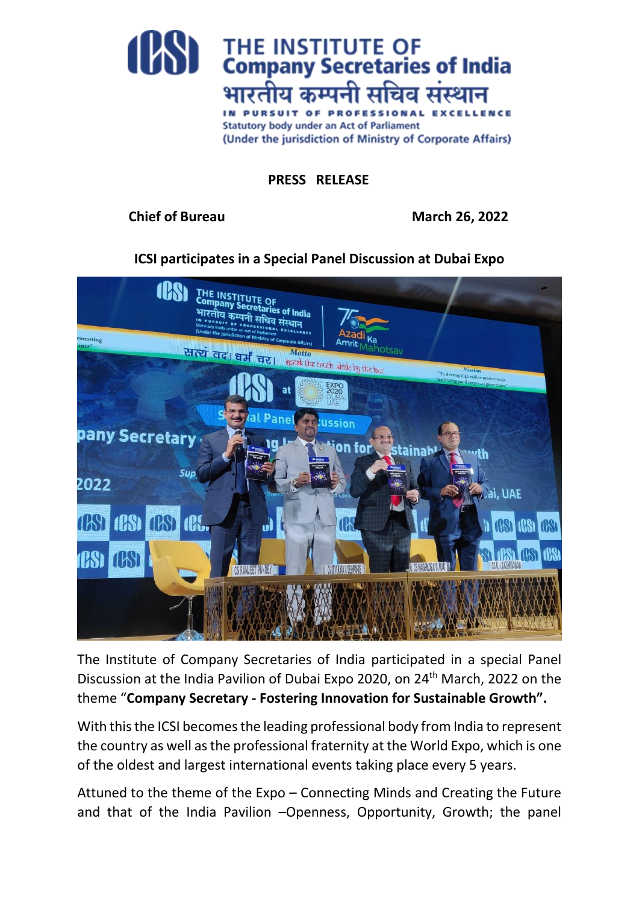

## **PRESS RELEASE**

## **Chief of Bureau March 26, 2022**

**ICSI participates in a Special Panel Discussion at Dubai Expo**



The Institute of Company Secretaries of India participated in a special Panel Discussion at the India Pavilion of Dubai Expo 2020, on 24th March, 2022 on the theme "**Company Secretary - Fostering Innovation for Sustainable Growth".**

With this the ICSI becomes the leading professional body from India to represent the country as well as the professional fraternity at the World Expo, which is one of the oldest and largest international events taking place every 5 years.

Attuned to the theme of the Expo – Connecting Minds and Creating the Future and that of the India Pavilion –Openness, Opportunity, Growth; the panel